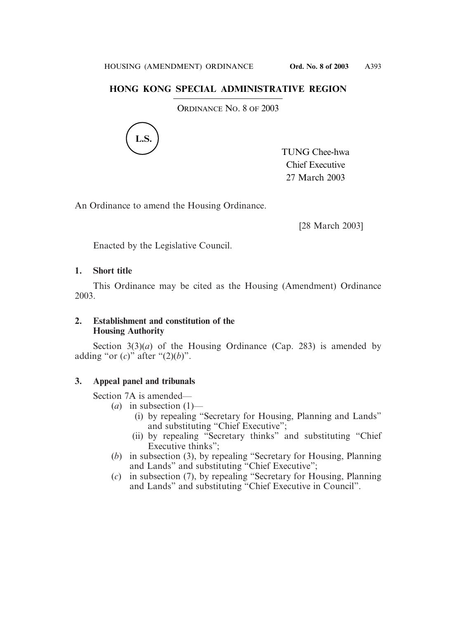# **HONG KONG SPECIAL ADMINISTRATIVE REGION**

ORDINANCE NO. 8 OF 2003



TUNG Chee-hwa Chief Executive 27 March 2003

An Ordinance to amend the Housing Ordinance.

[28 March 2003]

Enacted by the Legislative Council.

## **1. Short title**

This Ordinance may be cited as the Housing (Amendment) Ordinance 2003.

## **2. Establishment and constitution of the Housing Authority**

Section  $3(3)(a)$  of the Housing Ordinance (Cap. 283) is amended by adding "or  $(c)$ " after " $(2)(b)$ ".

# **3. Appeal panel and tribunals**

Section 7A is amended—

- $(a)$  in subsection  $(1)$ 
	- (i) by repealing "Secretary for Housing, Planning and Lands" and substituting "Chief Executive";
	- (ii) by repealing "Secretary thinks" and substituting "Chief Executive thinks";
- (*b*) in subsection (3), by repealing "Secretary for Housing, Planning and Lands" and substituting "Chief Executive";
- (*c*) in subsection (7), by repealing "Secretary for Housing, Planning and Lands" and substituting "Chief Executive in Council".